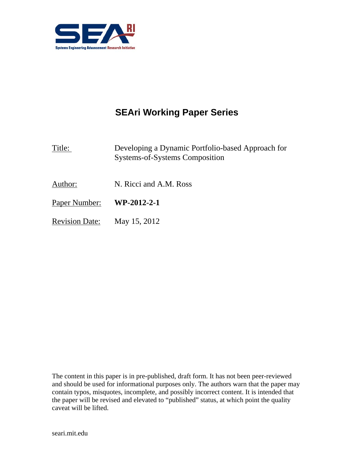

# **SEAri Working Paper Series**

Title: Developing a Dynamic Portfolio-based Approach for Systems-of-Systems Composition

- Author: N. Ricci and A.M. Ross
- Paper Number: **WP-2012-2-1**
- Revision Date: May 15, 2012

The content in this paper is in pre-published, draft form. It has not been peer-reviewed and should be used for informational purposes only. The authors warn that the paper may contain typos, misquotes, incomplete, and possibly incorrect content. It is intended that the paper will be revised and elevated to "published" status, at which point the quality caveat will be lifted.

seari.mit.edu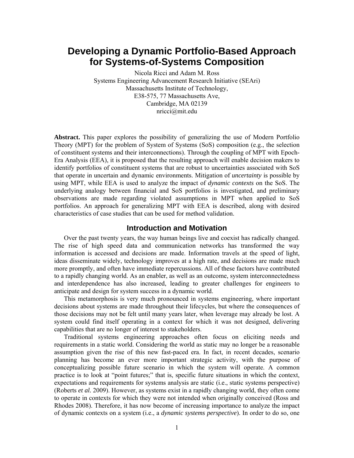## **Developing a Dynamic Portfolio-Based Approach for Systems-of-Systems Composition**

Nicola Ricci and Adam M. Ross Systems Engineering Advancement Research Initiative (SEAri) Massachusetts Institute of Technology, E38-575, 77 Massachusetts Ave, Cambridge, MA 02139 nricci@mit.edu

**Abstract.** This paper explores the possibility of generalizing the use of Modern Portfolio Theory (MPT) for the problem of System of Systems (SoS) composition (e.g., the selection of constituent systems and their interconnections). Through the coupling of MPT with Epoch-Era Analysis (EEA), it is proposed that the resulting approach will enable decision makers to identify portfolios of constituent systems that are robust to uncertainties associated with SoS that operate in uncertain and dynamic environments. Mitigation of *uncertainty* is possible by using MPT, while EEA is used to analyze the impact of *dynamic contexts* on the SoS. The underlying analogy between financial and SoS portfolios is investigated, and preliminary observations are made regarding violated assumptions in MPT when applied to SoS portfolios. An approach for generalizing MPT with EEA is described, along with desired characteristics of case studies that can be used for method validation.

#### **Introduction and Motivation**

Over the past twenty years, the way human beings live and coexist has radically changed. The rise of high speed data and communication networks has transformed the way information is accessed and decisions are made. Information travels at the speed of light, ideas disseminate widely, technology improves at a high rate, and decisions are made much more promptly, and often have immediate repercussions. All of these factors have contributed to a rapidly changing world. As an enabler, as well as an outcome, system interconnectedness and interdependence has also increased, leading to greater challenges for engineers to anticipate and design for system success in a dynamic world.

This metamorphosis is very much pronounced in systems engineering, where important decisions about systems are made throughout their lifecycles, but where the consequences of those decisions may not be felt until many years later, when leverage may already be lost. A system could find itself operating in a context for which it was not designed, delivering capabilities that are no longer of interest to stakeholders.

Traditional systems engineering approaches often focus on eliciting needs and requirements in a static world. Considering the world as static may no longer be a reasonable assumption given the rise of this new fast-paced era. In fact, in recent decades, scenario planning has become an ever more important strategic activity, with the purpose of conceptualizing possible future scenario in which the system will operate. A common practice is to look at "point futures;" that is, specific future situations in which the context, expectations and requirements for systems analysis are static (i.e., static systems perspective) (Roberts *et al.* 2009). However, as systems exist in a rapidly changing world, they often come to operate in contexts for which they were not intended when originally conceived (Ross and Rhodes 2008). Therefore, it has now become of increasing importance to analyze the impact of dynamic contexts on a system (i.e., a *dynamic systems perspective*). In order to do so, one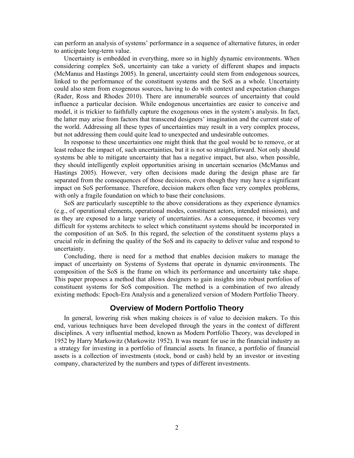can perform an analysis of systems' performance in a sequence of alternative futures, in order to anticipate long-term value.

Uncertainty is embedded in everything, more so in highly dynamic environments. When considering complex SoS, uncertainty can take a variety of different shapes and impacts (McManus and Hastings 2005). In general, uncertainty could stem from endogenous sources, linked to the performance of the constituent systems and the SoS as a whole. Uncertainty could also stem from exogenous sources, having to do with context and expectation changes (Rader, Ross and Rhodes 2010). There are innumerable sources of uncertainty that could influence a particular decision. While endogenous uncertainties are easier to conceive and model, it is trickier to faithfully capture the exogenous ones in the system's analysis. In fact, the latter may arise from factors that transcend designers' imagination and the current state of the world. Addressing all these types of uncertainties may result in a very complex process, but not addressing them could quite lead to unexpected and undesirable outcomes.

In response to these uncertainties one might think that the goal would be to remove, or at least reduce the impact of, such uncertainties, but it is not so straightforward. Not only should systems be able to mitigate uncertainty that has a negative impact, but also, when possible, they should intelligently exploit opportunities arising in uncertain scenarios (McManus and Hastings 2005). However, very often decisions made during the design phase are far separated from the consequences of those decisions, even though they may have a significant impact on SoS performance. Therefore, decision makers often face very complex problems, with only a fragile foundation on which to base their conclusions.

SoS are particularly susceptible to the above considerations as they experience dynamics (e.g., of operational elements, operational modes, constituent actors, intended missions), and as they are exposed to a large variety of uncertainties. As a consequence, it becomes very difficult for systems architects to select which constituent systems should be incorporated in the composition of an SoS. In this regard, the selection of the constituent systems plays a crucial role in defining the quality of the SoS and its capacity to deliver value and respond to uncertainty.

Concluding, there is need for a method that enables decision makers to manage the impact of uncertainty on Systems of Systems that operate in dynamic environments. The composition of the SoS is the frame on which its performance and uncertainty take shape. This paper proposes a method that allows designers to gain insights into robust portfolios of constituent systems for SoS composition. The method is a combination of two already existing methods: Epoch-Era Analysis and a generalized version of Modern Portfolio Theory.

### **Overview of Modern Portfolio Theory**

In general, lowering risk when making choices is of value to decision makers. To this end, various techniques have been developed through the years in the context of different disciplines. A very influential method, known as Modern Portfolio Theory, was developed in 1952 by Harry Markowitz (Markowitz 1952). It was meant for use in the financial industry as a strategy for investing in a portfolio of financial assets. In finance, a portfolio of financial assets is a collection of investments (stock, bond or cash) held by an investor or investing company, characterized by the numbers and types of different investments.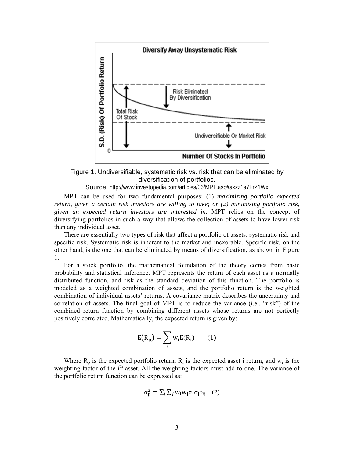

Figure 1. Undiversifiable, systematic risk vs. risk that can be eliminated by diversification of portfolios.

Source: http://www.investopedia.com/articles/06/MPT.asp#axzz1a7FrZ1Wx

MPT can be used for two fundamental purposes: (1) *maximizing portfolio expected return, given a certain risk investors are willing to take; or (2) minimizing portfolio risk, given an expected return investors are interested in*. MPT relies on the concept of diversifying portfolios in such a way that allows the collection of assets to have lower risk than any individual asset.

There are essentially two types of risk that affect a portfolio of assets: systematic risk and specific risk. Systematic risk is inherent to the market and inexorable. Specific risk, on the other hand, is the one that can be eliminated by means of diversification, as shown in Figure 1.

For a stock portfolio, the mathematical foundation of the theory comes from basic probability and statistical inference. MPT represents the return of each asset as a normally distributed function, and risk as the standard deviation of this function. The portfolio is modeled as a weighted combination of assets, and the portfolio return is the weighted combination of individual assets' returns. A covariance matrix describes the uncertainty and correlation of assets. The final goal of MPT is to reduce the variance (i.e., "risk") of the combined return function by combining different assets whose returns are not perfectly positively correlated. Mathematically, the expected return is given by:

$$
E(R_p) = \sum_i w_i E(R_i) \qquad (1)
$$

Where  $R_p$  is the expected portfolio return,  $R_i$  is the expected asset i return, and  $w_i$  is the weighting factor of the i<sup>th</sup> asset. All the weighting factors must add to one. The variance of the portfolio return function can be expressed as:

$$
\sigma_{\rm p}^2 = \sum_i \sum_j w_i w_j \sigma_i \sigma_j \rho_{ij} \quad (2)
$$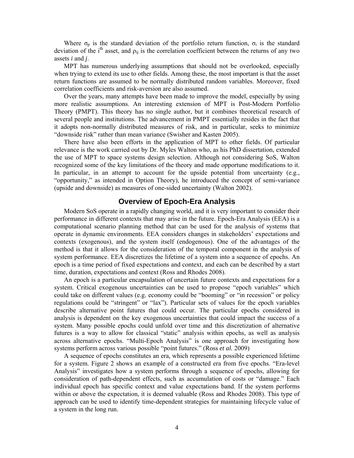Where  $\sigma_p$  is the standard deviation of the portfolio return function,  $\sigma_i$  is the standard deviation of the i<sup>th</sup> asset, and  $\rho_{ii}$  is the correlation coefficient between the returns of any two assets *i* and *j*.

MPT has numerous underlying assumptions that should not be overlooked, especially when trying to extend its use to other fields. Among these, the most important is that the asset return functions are assumed to be normally distributed random variables. Moreover, fixed correlation coefficients and risk-aversion are also assumed.

Over the years, many attempts have been made to improve the model, especially by using more realistic assumptions. An interesting extension of MPT is Post-Modern Portfolio Theory (PMPT). This theory has no single author, but it combines theoretical research of several people and institutions. The advancement in PMPT essentially resides in the fact that it adopts non-normally distributed measures of risk, and in particular, seeks to minimize "downside risk" rather than mean variance (Swisher and Kasten 2005).

There have also been efforts in the application of MPT to other fields. Of particular relevance is the work carried out by Dr. Myles Walton who, as his PhD dissertation, extended the use of MPT to space systems design selection. Although not considering SoS, Walton recognized some of the key limitations of the theory and made opportune modifications to it. In particular, in an attempt to account for the upside potential from uncertainty  $(e.g.,)$ "opportunity," as intended in Option Theory), he introduced the concept of semi-variance (upside and downside) as measures of one-sided uncertainty (Walton 2002).

### **Overview of Epoch-Era Analysis**

Modern SoS operate in a rapidly changing world, and it is very important to consider their performance in different contexts that may arise in the future. Epoch-Era Analysis (EEA) is a computational scenario planning method that can be used for the analysis of systems that operate in dynamic environments. EEA considers changes in stakeholders' expectations and contexts (exogenous), and the system itself (endogenous). One of the advantages of the method is that it allows for the consideration of the temporal component in the analysis of system performance. EEA discretizes the lifetime of a system into a sequence of epochs. An epoch is a time period of fixed expectations and context, and each can be described by a start time, duration, expectations and context (Ross and Rhodes 2008).

An epoch is a particular encapsulation of uncertain future contexts and expectations for a system. Critical exogenous uncertainties can be used to propose "epoch variables" which could take on different values (e.g. economy could be "booming" or "in recession" or policy regulations could be "stringent" or "lax"). Particular sets of values for the epoch variables describe alternative point futures that could occur. The particular epochs considered in analysis is dependent on the key exogenous uncertainties that could impact the success of a system. Many possible epochs could unfold over time and this discretization of alternative futures is a way to allow for classical "static" analysis within epochs, as well as analysis across alternative epochs. "Multi-Epoch Analysis" is one approach for investigating how systems perform across various possible "point futures." (Ross *et al.* 2009)

A sequence of epochs constitutes an era, which represents a possible experienced lifetime for a system. Figure 2 shows an example of a constructed era from five epochs. "Era-level Analysis" investigates how a system performs through a sequence of epochs, allowing for consideration of path-dependent effects, such as accumulation of costs or "damage." Each individual epoch has specific context and value expectations band. If the system performs within or above the expectation, it is deemed valuable (Ross and Rhodes 2008). This type of approach can be used to identify time-dependent strategies for maintaining lifecycle value of a system in the long run.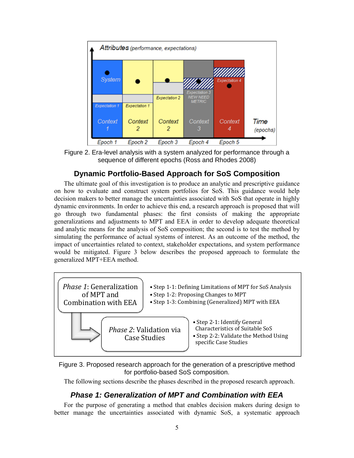

Figure 2. Era-level analysis with a system analyzed for performance through a sequence of different epochs (Ross and Rhodes 2008)

### **Dynamic Portfolio-Based Approach for SoS Composition**

The ultimate goal of this investigation is to produce an analytic and prescriptive guidance on how to evaluate and construct system portfolios for SoS. This guidance would help decision makers to better manage the uncertainties associated with SoS that operate in highly dynamic environments. In order to achieve this end, a research approach is proposed that will go through two fundamental phases: the first consists of making the appropriate generalizations and adjustments to MPT and EEA in order to develop adequate theoretical and analytic means for the analysis of SoS composition; the second is to test the method by simulating the performance of actual systems of interest. As an outcome of the method, the impact of uncertainties related to context, stakeholder expectations, and system performance would be mitigated. Figure 3 below describes the proposed approach to formulate the generalized MPT+EEA method.



Figure 3. Proposed research approach for the generation of a prescriptive method for portfolio-based SoS composition.

The following sections describe the phases described in the proposed research approach.

### *Phase 1: Generalization of MPT and Combination with EEA*

For the purpose of generating a method that enables decision makers during design to better manage the uncertainties associated with dynamic SoS, a systematic approach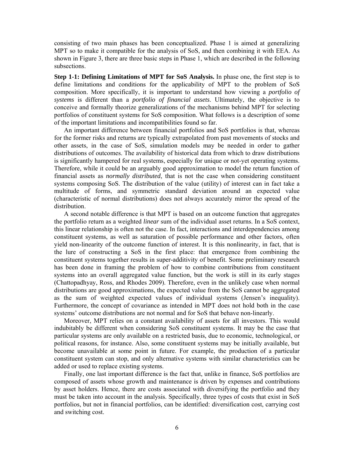consisting of two main phases has been conceptualized. Phase 1 is aimed at generalizing MPT so to make it compatible for the analysis of SoS, and then combining it with EEA. As shown in Figure 3, there are three basic steps in Phase 1, which are described in the following subsections.

**Step 1-1: Defining Limitations of MPT for SoS Analysis.** In phase one, the first step is to define limitations and conditions for the applicability of MPT to the problem of SoS composition. More specifically, it is important to understand how viewing a *portfolio of systems* is different than a *portfolio of financial assets*. Ultimately, the objective is to conceive and formally theorize generalizations of the mechanisms behind MPT for selecting portfolios of constituent systems for SoS composition. What follows is a description of some of the important limitations and incompatibilities found so far.

An important difference between financial portfolios and SoS portfolios is that, whereas for the former risks and returns are typically extrapolated from past movements of stocks and other assets, in the case of SoS, simulation models may be needed in order to gather distributions of outcomes. The availability of historical data from which to draw distributions is significantly hampered for real systems, especially for unique or not-yet operating systems. Therefore, while it could be an arguably good approximation to model the return function of financial assets as *normally distributed*, that is not the case when considering constituent systems composing SoS. The distribution of the value (utility) of interest can in fact take a multitude of forms, and symmetric standard deviation around an expected value (characteristic of normal distributions) does not always accurately mirror the spread of the distribution.

A second notable difference is that MPT is based on an outcome function that aggregates the portfolio return as a weighted *linear* sum of the individual asset returns. In a SoS context, this linear relationship is often not the case. In fact, interactions and interdependencies among constituent systems, as well as saturation of possible performance and other factors, often yield non-linearity of the outcome function of interest. It is this nonlinearity, in fact, that is the lure of constructing a SoS in the first place: that emergence from combining the constituent systems together results in super-additivity of benefit. Some preliminary research has been done in framing the problem of how to combine contributions from constituent systems into an overall aggregated value function, but the work is still in its early stages (Chattopadhyay, Ross, and Rhodes 2009). Therefore, even in the unlikely case when normal distributions are good approximations, the expected value from the SoS cannot be aggregated as the sum of weighted expected values of individual systems (Jensen's inequality). Furthermore, the concept of covariance as intended in MPT does not hold both in the case systems' outcome distributions are not normal and for SoS that behave non-linearly.

Moreover, MPT relies on a constant availability of assets for all investors. This would indubitably be different when considering SoS constituent systems. It may be the case that particular systems are only available on a restricted basis, due to economic, technological, or political reasons, for instance. Also, some constituent systems may be initially available, but become unavailable at some point in future. For example, the production of a particular constituent system can stop, and only alternative systems with similar characteristics can be added or used to replace existing systems.

Finally, one last important difference is the fact that, unlike in finance, SoS portfolios are composed of assets whose growth and maintenance is driven by expenses and contributions by asset holders. Hence, there are costs associated with diversifying the portfolio and they must be taken into account in the analysis. Specifically, three types of costs that exist in SoS portfolios, but not in financial portfolios, can be identified: diversification cost, carrying cost and switching cost.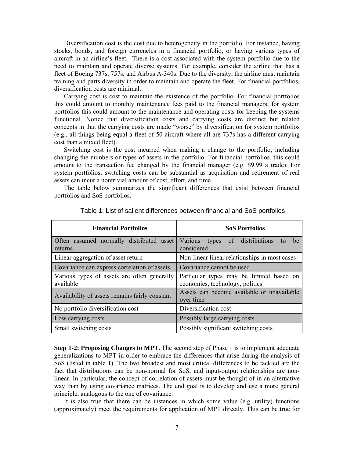Diversification cost is the cost due to heterogeneity in the portfolio. For instance, having stocks, bonds, and foreign currencies in a financial portfolio, or having various types of aircraft in an airline's fleet. There is a cost associated with the system portfolio due to the need to maintain and operate diverse systems. For example, consider the airline that has a fleet of Boeing 737s, 757s, and Airbus A-340s. Due to the diversity, the airline must maintain training and parts diversity in order to maintain and operate the fleet. For financial portfolios, diversification costs are minimal.

Carrying cost is cost to maintain the existence of the portfolio. For financial portfolios this could amount to monthly maintenance fees paid to the financial managers; for system portfolios this could amount to the maintenance and operating costs for keeping the systems functional. Notice that diversification costs and carrying costs are distinct but related concepts in that the carrying costs are made "worse" by diversification for system portfolios (e.g., all things being equal a fleet of 50 aircraft where all are 737s has a different carrying cost than a mixed fleet).

Switching cost is the cost incurred when making a change to the portfolio, including changing the numbers or types of assets in the portfolio. For financial portfolios, this could amount to the transaction fee changed by the financial manager (e.g. \$9.99 a trade). For system portfolios, switching costs can be substantial as acquisition and retirement of real assets can incur a nontrivial amount of cost, effort, and time.

The table below summarizes the significant differences that exist between financial portfolios and SoS portfolios.

| <b>Financial Portfolios</b>                              | <b>SoS Portfolios</b>                                                       |
|----------------------------------------------------------|-----------------------------------------------------------------------------|
| Often assumed normally distributed asset<br>returns      | Various<br>types of distributions<br>be<br>considered                       |
| Linear aggregation of asset return                       | Non-linear linear relationships in most cases                               |
| Covariance can express correlation of assets             | Covariance cannot be used                                                   |
| Various types of assets are often generally<br>available | Particular types may be limited based on<br>economics, technology, politics |
| Availability of assets remains fairly constant           | Assets can become available or unavailable<br>over time                     |
| No portfolio diversification cost                        | Diversification cost                                                        |
| Low carrying costs                                       | Possibly large carrying costs                                               |
| Small switching costs                                    | Possibly significant switching costs                                        |

Table 1: List of salient differences between financial and SoS portfolios

**Step 1-2: Proposing Changes to MPT.** The second step of Phase 1 is to implement adequate generalizations to MPT in order to embrace the differences that arise during the analysis of SoS (listed in table 1). The two broadest and most critical differences to be tackled are the fact that distributions can be non-normal for SoS, and input-output relationships are nonlinear. In particular, the concept of correlation of assets must be thought of in an alternative way than by using covariance matrices. The end goal is to develop and use a more general principle, analogous to the one of covariance.

It is also true that there can be instances in which some value (e.g. utility) functions (approximately) meet the requirements for application of MPT directly. This can be true for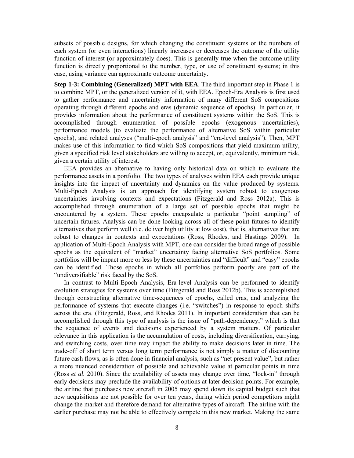subsets of possible designs, for which changing the constituent systems or the numbers of each system (or even interactions) linearly increases or decreases the outcome of the utility function of interest (or approximately does). This is generally true when the outcome utility function is directly proportional to the number, type, or use of constituent systems; in this case, using variance can approximate outcome uncertainty.

**Step 1-3: Combining (Generalized) MPT with EEA**. The third important step in Phase 1 is to combine MPT, or the generalized version of it, with EEA. Epoch-Era Analysis is first used to gather performance and uncertainty information of many different SoS compositions operating through different epochs and eras (dynamic sequence of epochs). In particular, it provides information about the performance of constituent systems within the SoS. This is accomplished through enumeration of possible epochs (exogenous uncertainties), performance models (to evaluate the performance of alternative SoS within particular epochs), and related analyses ("multi-epoch analysis" and "era-level analysis"). Then, MPT makes use of this information to find which SoS compositions that yield maximum utility, given a specified risk level stakeholders are willing to accept, or, equivalently, minimum risk, given a certain utility of interest.

EEA provides an alternative to having only historical data on which to evaluate the performance assets in a portfolio. The two types of analyses within EEA each provide unique insights into the impact of uncertainty and dynamics on the value produced by systems. Multi-Epoch Analysis is an approach for identifying system robust to exogenous uncertainties involving contexts and expectations (Fitzgerald and Ross 2012a). This is accomplished through enumeration of a large set of possible epochs that might be encountered by a system. These epochs encapsulate a particular "point sampling" of uncertain futures. Analysis can be done looking across all of these point futures to identify alternatives that perform well (i.e. deliver high utility at low cost), that is, alternatives that are robust to changes in contexts and expectations (Ross, Rhodes, and Hastings 2009). In application of Multi-Epoch Analysis with MPT, one can consider the broad range of possible epochs as the equivalent of "market" uncertainty facing alternative SoS portfolios. Some portfolios will be impact more or less by these uncertainties and "difficult" and "easy" epochs can be identified. Those epochs in which all portfolios perform poorly are part of the "undiversifiable" risk faced by the SoS.

In contrast to Multi-Epoch Analysis, Era-level Analysis can be performed to identify evolution strategies for systems over time (Fitzgerald and Ross 2012b). This is accomplished through constructing alternative time-sequences of epochs, called eras, and analyzing the performance of systems that execute changes (i.e. "switches") in response to epoch shifts across the era. (Fitzgerald, Ross, and Rhodes 2011). In important consideration that can be accomplished through this type of analysis is the issue of "path-dependency," which is that the sequence of events and decisions experienced by a system matters. Of particular relevance in this application is the accumulation of costs, including diversification, carrying, and switching costs, over time may impact the ability to make decisions later in time. The trade-off of short term versus long term performance is not simply a matter of discounting future cash flows, as is often done in financial analysis, such as "net present value", but rather a more nuanced consideration of possible and achievable value at particular points in time (Ross *et al.* 2010). Since the availability of assets may change over time, "lock-in" through early decisions may preclude the availability of options at later decision points. For example, the airline that purchases new aircraft in 2005 may spend down its capital budget such that new acquisitions are not possible for over ten years, during which period competitors might change the market and therefore demand for alternative types of aircraft. The airline with the earlier purchase may not be able to effectively compete in this new market. Making the same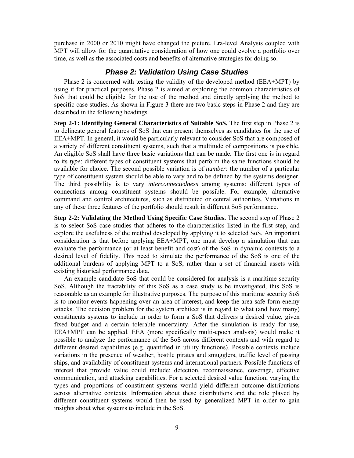purchase in 2000 or 2010 might have changed the picture. Era-level Analysis coupled with MPT will allow for the quantitative consideration of how one could evolve a portfolio over time, as well as the associated costs and benefits of alternative strategies for doing so.

### *Phase 2: Validation Using Case Studies*

Phase 2 is concerned with testing the validity of the developed method (EEA+MPT) by using it for practical purposes. Phase 2 is aimed at exploring the common characteristics of SoS that could be eligible for the use of the method and directly applying the method to specific case studies. As shown in Figure 3 there are two basic steps in Phase 2 and they are described in the following headings.

**Step 2-1: Identifying General Characteristics of Suitable SoS.** The first step in Phase 2 is to delineate general features of SoS that can present themselves as candidates for the use of EEA+MPT. In general, it would be particularly relevant to consider SoS that are composed of a variety of different constituent systems, such that a multitude of compositions is possible. An eligible SoS shall have three basic variations that can be made. The first one is in regard to its *type*: different types of constituent systems that perform the same functions should be available for choice. The second possible variation is of *number*: the number of a particular type of constituent system should be able to vary and to be defined by the systems designer. The third possibility is to vary *interconnectedness* among systems: different types of connections among constituent systems should be possible. For example, alternative command and control architectures, such as distributed or central authorities. Variations in any of these three features of the portfolio should result in different SoS performance.

**Step 2-2: Validating the Method Using Specific Case Studies.** The second step of Phase 2 is to select SoS case studies that adheres to the characteristics listed in the first step, and explore the usefulness of the method developed by applying it to selected SoS. An important consideration is that before applying EEA+MPT, one must develop a simulation that can evaluate the performance (or at least benefit and cost) of the SoS in dynamic contexts to a desired level of fidelity. This need to simulate the performance of the SoS is one of the additional burdens of applying MPT to a SoS, rather than a set of financial assets with existing historical performance data.

An example candidate SoS that could be considered for analysis is a maritime security SoS. Although the tractability of this SoS as a case study is be investigated, this SoS is reasonable as an example for illustrative purposes. The purpose of this maritime security SoS is to monitor events happening over an area of interest, and keep the area safe form enemy attacks. The decision problem for the system architect is in regard to what (and how many) constituents systems to include in order to form a SoS that delivers a desired value, given fixed budget and a certain tolerable uncertainty. After the simulation is ready for use, EEA+MPT can be applied. EEA (more specifically multi-epoch analysis) would make it possible to analyze the performance of the SoS across different contexts and with regard to different desired capabilities (e.g. quantified in utility functions). Possible contexts include variations in the presence of weather, hostile pirates and smugglers, traffic level of passing ships, and availability of constituent systems and international partners. Possible functions of interest that provide value could include: detection, reconnaissance, coverage, effective communication, and attacking capabilities. For a selected desired value function, varying the types and proportions of constituent systems would yield different outcome distributions across alternative contexts. Information about these distributions and the role played by different constituent systems would then be used by generalized MPT in order to gain insights about what systems to include in the SoS.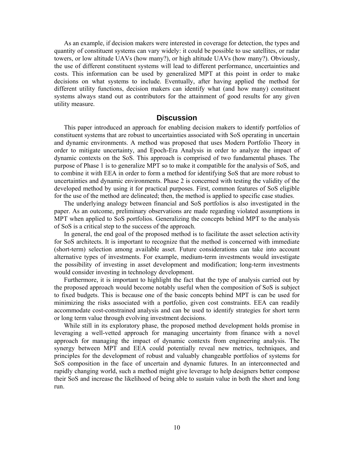As an example, if decision makers were interested in coverage for detection, the types and quantity of constituent systems can vary widely: it could be possible to use satellites, or radar towers, or low altitude UAVs (how many?), or high altitude UAVs (how many?). Obviously, the use of different constituent systems will lead to different performance, uncertainties and costs. This information can be used by generalized MPT at this point in order to make decisions on what systems to include. Eventually, after having applied the method for different utility functions, decision makers can identify what (and how many) constituent systems always stand out as contributors for the attainment of good results for any given utility measure.

#### **Discussion**

This paper introduced an approach for enabling decision makers to identify portfolios of constituent systems that are robust to uncertainties associated with SoS operating in uncertain and dynamic environments. A method was proposed that uses Modern Portfolio Theory in order to mitigate uncertainty, and Epoch-Era Analysis in order to analyze the impact of dynamic contexts on the SoS. This approach is comprised of two fundamental phases. The purpose of Phase 1 is to generalize MPT so to make it compatible for the analysis of SoS, and to combine it with EEA in order to form a method for identifying SoS that are more robust to uncertainties and dynamic environments. Phase 2 is concerned with testing the validity of the developed method by using it for practical purposes. First, common features of SoS eligible for the use of the method are delineated; then, the method is applied to specific case studies.

The underlying analogy between financial and SoS portfolios is also investigated in the paper. As an outcome, preliminary observations are made regarding violated assumptions in MPT when applied to SoS portfolios. Generalizing the concepts behind MPT to the analysis of SoS is a critical step to the success of the approach.

In general, the end goal of the proposed method is to facilitate the asset selection activity for SoS architects. It is important to recognize that the method is concerned with immediate (short-term) selection among available asset. Future considerations can take into account alternative types of investments. For example, medium-term investments would investigate the possibility of investing in asset development and modification; long-term investments would consider investing in technology development.

Furthermore, it is important to highlight the fact that the type of analysis carried out by the proposed approach would become notably useful when the composition of SoS is subject to fixed budgets. This is because one of the basic concepts behind MPT is can be used for minimizing the risks associated with a portfolio, given cost constraints. EEA can readily accommodate cost-constrained analysis and can be used to identify strategies for short term or long term value through evolving investment decisions.

While still in its exploratory phase, the proposed method development holds promise in leveraging a well-vetted approach for managing uncertainty from finance with a novel approach for managing the impact of dynamic contexts from engineering analysis. The synergy between MPT and EEA could potentially reveal new metrics, techniques, and principles for the development of robust and valuably changeable portfolios of systems for SoS composition in the face of uncertain and dynamic futures. In an interconnected and rapidly changing world, such a method might give leverage to help designers better compose their SoS and increase the likelihood of being able to sustain value in both the short and long run.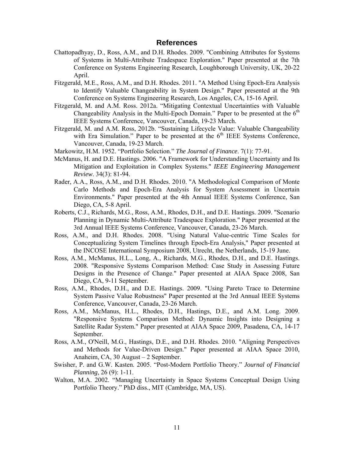#### **References**

- Chattopadhyay, D., Ross, A.M., and D.H. Rhodes. 2009. "Combining Attributes for Systems of Systems in Multi-Attribute Tradespace Exploration." Paper presented at the 7th Conference on Systems Engineering Research, Loughborough University, UK, 20-22 April.
- Fitzgerald, M.E., Ross, A.M., and D.H. Rhodes. 2011. "A Method Using Epoch-Era Analysis to Identify Valuable Changeability in System Design." Paper presented at the 9th Conference on Systems Engineering Research, Los Angeles, CA, 15-16 April.
- Fitzgerald, M. and A.M. Ross. 2012a. "Mitigating Contextual Uncertainties with Valuable Changeability Analysis in the Multi-Epoch Domain." Paper to be presented at the  $6<sup>th</sup>$ IEEE Systems Conference, Vancouver, Canada, 19-23 March.
- Fitzgerald, M. and A.M. Ross, 2012b. "Sustaining Lifecycle Value: Valuable Changeability with Era Simulation." Paper to be presented at the  $6<sup>th</sup>$  IEEE Systems Conference, Vancouver, Canada, 19-23 March.
- Markowitz, H.M. 1952. "Portfolio Selection." *The Journal of Finance*. 7(1): 77-91.
- McManus, H. and D.E. Hastings. 2006. "A Framework for Understanding Uncertainty and Its Mitigation and Exploitation in Complex Systems." *IEEE Engineering Management Review*. 34(3): 81-94.
- Rader, A.A., Ross, A.M., and D.H. Rhodes. 2010. "A Methodological Comparison of Monte Carlo Methods and Epoch-Era Analysis for System Assessment in Uncertain Environments." Paper presented at the 4th Annual IEEE Systems Conference, San Diego, CA, 5-8 April.
- Roberts, C.J., Richards, M.G., Ross, A.M., Rhodes, D.H., and D.E. Hastings. 2009. "Scenario Planning in Dynamic Multi-Attribute Tradespace Exploration." Paper presented at the 3rd Annual IEEE Systems Conference, Vancouver, Canada, 23-26 March.
- Ross, A.M., and D.H. Rhodes. 2008. "Using Natural Value-centric Time Scales for Conceptualizing System Timelines through Epoch-Era Analysis," Paper presented at the INCOSE International Symposium 2008, Utrecht, the Netherlands, 15-19 June.
- Ross, A.M., McManus, H.L., Long, A., Richards, M.G., Rhodes, D.H., and D.E. Hastings. 2008. "Responsive Systems Comparison Method: Case Study in Assessing Future Designs in the Presence of Change." Paper presented at AIAA Space 2008, San Diego, CA, 9-11 September.
- Ross, A.M., Rhodes, D.H., and D.E. Hastings. 2009. "Using Pareto Trace to Determine System Passive Value Robustness" Paper presented at the 3rd Annual IEEE Systems Conference, Vancouver, Canada, 23-26 March.
- Ross, A.M., McManus, H.L., Rhodes, D.H., Hastings, D.E., and A.M. Long. 2009. "Responsive Systems Comparison Method: Dynamic Insights into Designing a Satellite Radar System." Paper presented at AIAA Space 2009, Pasadena, CA, 14-17 September.
- Ross, A.M., O'Neill, M.G., Hastings, D.E., and D.H. Rhodes. 2010. "Aligning Perspectives and Methods for Value-Driven Design." Paper presented at AIAA Space 2010, Anaheim, CA, 30 August – 2 September.
- Swisher, P. and G.W. Kasten. 2005. "Post-Modern Portfolio Theory." *Journal of Financial Planning*, 26 (9): 1-11.
- Walton, M.A. 2002. "Managing Uncertainty in Space Systems Conceptual Design Using Portfolio Theory." PhD diss., MIT (Cambridge, MA, US).